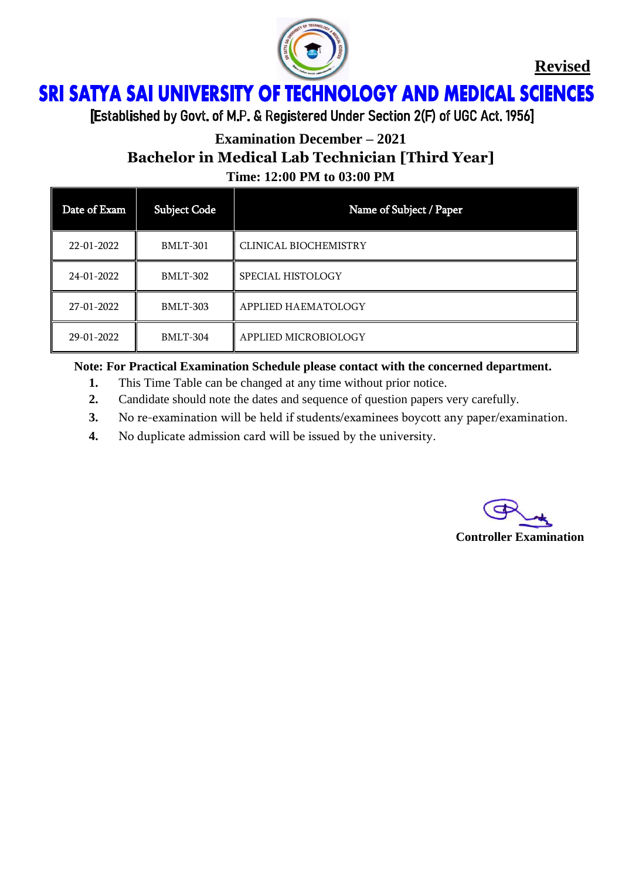

**Revised**

### ì Ï

[Established by Govt. of M.P. & Registered Under Section 2(F) of UGC Act. 1956]

### **Examination December – 2021**

**Bachelor in Medical Lab Technician [Third Year]**

**Time: 12:00 PM to 03:00 PM**

| Date of Exam | <b>Subject Code</b> | Name of Subject / Paper |
|--------------|---------------------|-------------------------|
| 22-01-2022   | <b>BMLT-301</b>     | CLINICAL BIOCHEMISTRY   |
| 24-01-2022   | BMLT-302            | SPECIAL HISTOLOGY       |
| 27-01-2022   | <b>BMLT-303</b>     | APPLIED HAEMATOLOGY     |
| 29-01-2022   | <b>BMLT-304</b>     | APPLIED MICROBIOLOGY    |

**Note: For Practical Examination Schedule please contact with the concerned department.**

- **1.** This Time Table can be changed at any time without prior notice.
- **2.** Candidate should note the dates and sequence of question papers very carefully.
- **3.** No re-examination will be held if students/examinees boycott any paper/examination.
- **4.** No duplicate admission card will be issued by the university.

**Controller Examination**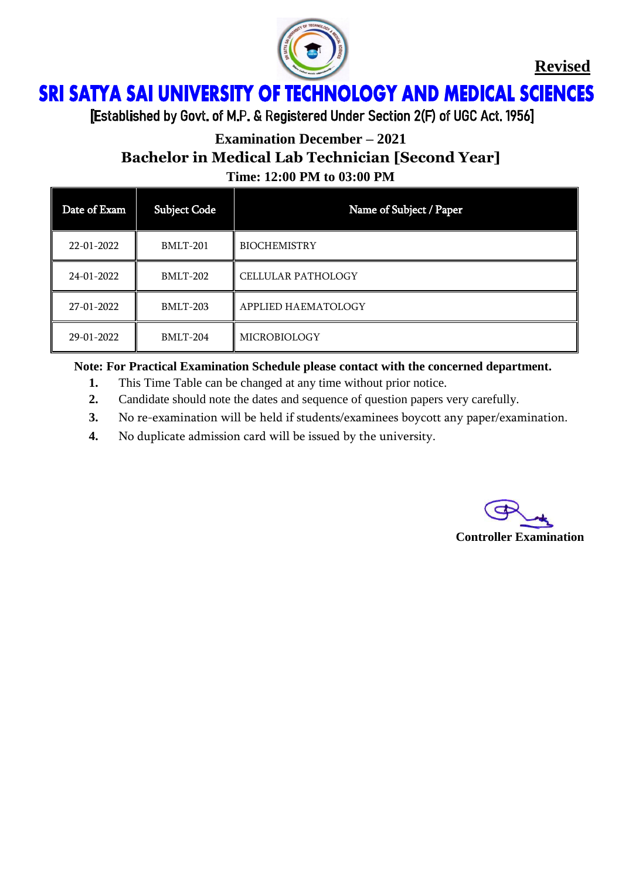

**Revised**

### ì Ï

[Established by Govt. of M.P. & Registered Under Section 2(F) of UGC Act. 1956]

## **Examination December – 2021 Bachelor in Medical Lab Technician [Second Year] Time: 12:00 PM to 03:00 PM**

| Date of Exam | <b>Subject Code</b> | Name of Subject / Paper   |
|--------------|---------------------|---------------------------|
| 22-01-2022   | <b>BMLT-201</b>     | <b>BIOCHEMISTRY</b>       |
| 24-01-2022   | <b>BMLT-202</b>     | <b>CELLULAR PATHOLOGY</b> |
| 27-01-2022   | <b>BMLT-203</b>     | APPLIED HAEMATOLOGY       |
| 29-01-2022   | <b>BMLT-204</b>     | <b>MICROBIOLOGY</b>       |

**Note: For Practical Examination Schedule please contact with the concerned department.**

- **1.** This Time Table can be changed at any time without prior notice.
- **2.** Candidate should note the dates and sequence of question papers very carefully.
- **3.** No re-examination will be held if students/examinees boycott any paper/examination.
- **4.** No duplicate admission card will be issued by the university.